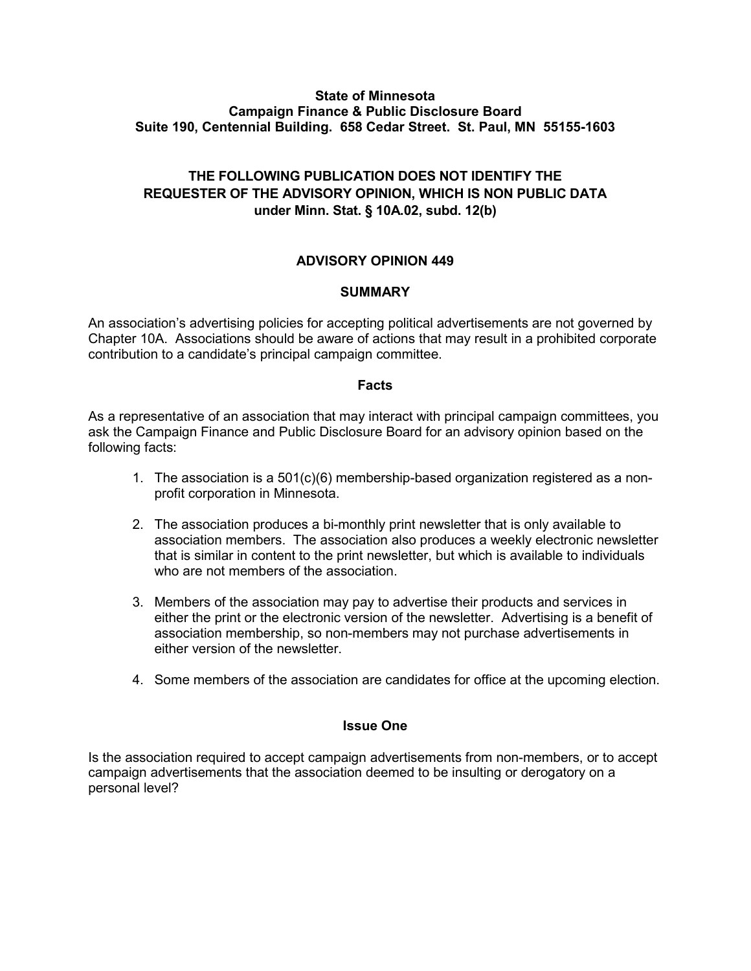### **State of Minnesota Campaign Finance & Public Disclosure Board Suite 190, Centennial Building. 658 Cedar Street. St. Paul, MN 55155-1603**

# **THE FOLLOWING PUBLICATION DOES NOT IDENTIFY THE REQUESTER OF THE ADVISORY OPINION, WHICH IS NON PUBLIC DATA under Minn. Stat. § 10A.02, subd. 12(b)**

# **ADVISORY OPINION 449**

## **SUMMARY**

An association's advertising policies for accepting political advertisements are not governed by Chapter 10A. Associations should be aware of actions that may result in a prohibited corporate contribution to a candidate's principal campaign committee.

### **Facts**

As a representative of an association that may interact with principal campaign committees, you ask the Campaign Finance and Public Disclosure Board for an advisory opinion based on the following facts:

- 1. The association is a 501(c)(6) membership-based organization registered as a nonprofit corporation in Minnesota.
- 2. The association produces a bi-monthly print newsletter that is only available to association members. The association also produces a weekly electronic newsletter that is similar in content to the print newsletter, but which is available to individuals who are not members of the association
- 3. Members of the association may pay to advertise their products and services in either the print or the electronic version of the newsletter. Advertising is a benefit of association membership, so non-members may not purchase advertisements in either version of the newsletter.
- 4. Some members of the association are candidates for office at the upcoming election.

### **Issue One**

Is the association required to accept campaign advertisements from non-members, or to accept campaign advertisements that the association deemed to be insulting or derogatory on a personal level?